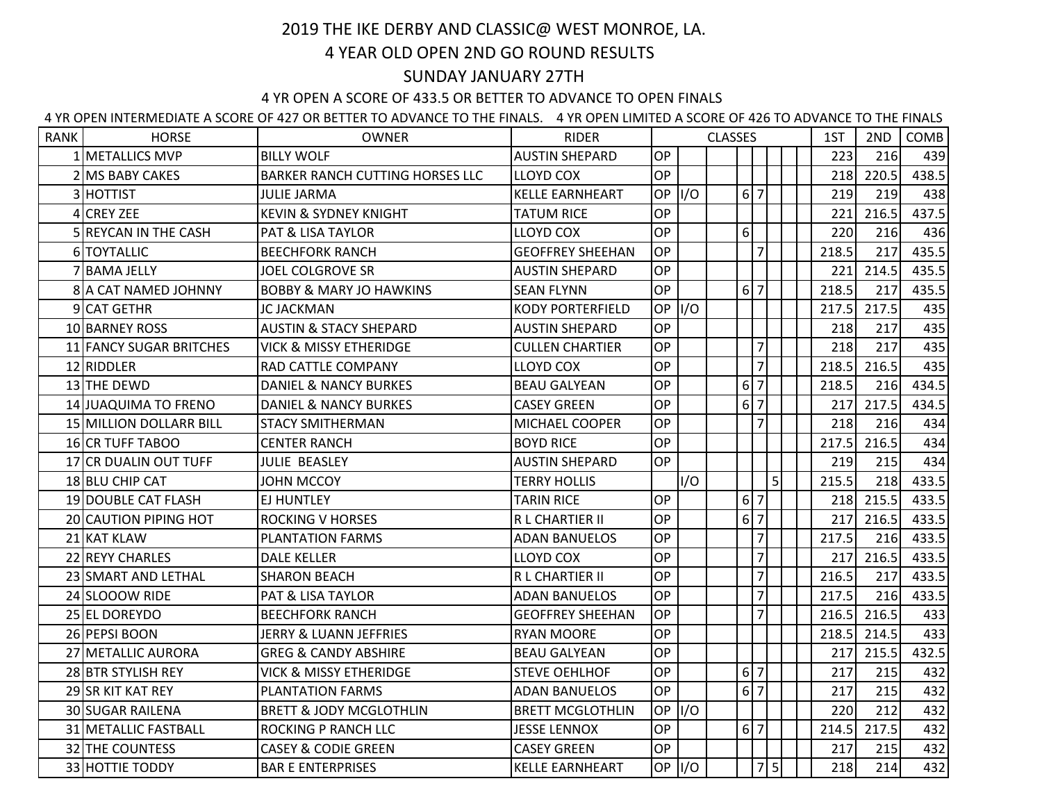## 2019 THE IKE DERBY AND CLASSIC@ WEST MONROE, LA. 4 YEAR OLD OPEN 2ND GO ROUND RESULTS

## SUNDAY JANUARY 27TH

## 4 YR OPEN A SCORE OF 433.5 OR BETTER TO ADVANCE TO OPEN FINALS

4 YR OPEN INTERMEDIATE A SCORE OF 427 OR BETTER TO ADVANCE TO THE FINALS. 4 YR OPEN LIMITED A SCORE OF 426 TO ADVANCE TO THE FINALS

| <b>RANK</b> | <b>HORSE</b>            | <b>OWNER</b>                           | <b>RIDER</b>            | <b>CLASSES</b> |        |  |                  |                |   | 1ST | 2ND   | COMB  |       |
|-------------|-------------------------|----------------------------------------|-------------------------|----------------|--------|--|------------------|----------------|---|-----|-------|-------|-------|
|             | 1 METALLICS MVP         | <b>BILLY WOLF</b>                      | <b>AUSTIN SHEPARD</b>   | OP             |        |  |                  |                |   |     | 223   | 216   | 439   |
|             | 2 MS BABY CAKES         | <b>BARKER RANCH CUTTING HORSES LLC</b> | <b>LLOYD COX</b>        | OP             |        |  |                  |                |   |     | 218   | 220.5 | 438.5 |
|             | 3 HOTTIST               | <b>JULIE JARMA</b>                     | <b>KELLE EARNHEART</b>  | <b>OP</b>      | I/O    |  |                  | 6 7            |   |     | 219   | 219   | 438   |
|             | 4 CREY ZEE              | <b>KEVIN &amp; SYDNEY KNIGHT</b>       | <b>TATUM RICE</b>       | OP             |        |  |                  |                |   |     | 221   | 216.5 | 437.5 |
|             | 5 REYCAN IN THE CASH    | PAT & LISA TAYLOR                      | <b>LLOYD COX</b>        | <b>OP</b>      |        |  | 6                |                |   |     | 220   | 216   | 436   |
|             | 6 TOYTALLIC             | <b>BEECHFORK RANCH</b>                 | <b>GEOFFREY SHEEHAN</b> | OP             |        |  |                  | $\overline{7}$ |   |     | 218.5 | 217   | 435.5 |
|             | 7 BAMA JELLY            | <b>JOEL COLGROVE SR</b>                | <b>AUSTIN SHEPARD</b>   | OP             |        |  |                  |                |   |     | 221   | 214.5 | 435.5 |
|             | 8 A CAT NAMED JOHNNY    | <b>BOBBY &amp; MARY JO HAWKINS</b>     | <b>SEAN FLYNN</b>       | <b>OP</b>      |        |  |                  | 6 7            |   |     | 218.5 | 217   | 435.5 |
|             | 9 CAT GETHR             | <b>JC JACKMAN</b>                      | <b>KODY PORTERFIELD</b> | <b>OP</b>      | I/O    |  |                  |                |   |     | 217.5 | 217.5 | 435   |
|             | 10 BARNEY ROSS          | <b>AUSTIN &amp; STACY SHEPARD</b>      | <b>AUSTIN SHEPARD</b>   | OP             |        |  |                  |                |   |     | 218   | 217   | 435   |
|             | 11 FANCY SUGAR BRITCHES | <b>VICK &amp; MISSY ETHERIDGE</b>      | <b>CULLEN CHARTIER</b>  | <b>OP</b>      |        |  |                  | $\overline{7}$ |   |     | 218   | 217   | 435   |
|             | 12 RIDDLER              | RAD CATTLE COMPANY                     | <b>LLOYD COX</b>        | <b>OP</b>      |        |  |                  | $\overline{7}$ |   |     | 218.5 | 216.5 | 435   |
|             | 13 THE DEWD             | <b>DANIEL &amp; NANCY BURKES</b>       | <b>BEAU GALYEAN</b>     | OP             |        |  |                  | 6 7            |   |     | 218.5 | 216   | 434.5 |
|             | 14 JUAQUIMA TO FRENO    | <b>DANIEL &amp; NANCY BURKES</b>       | <b>CASEY GREEN</b>      | OP             |        |  | $6\overline{)7}$ |                |   |     | 217   | 217.5 | 434.5 |
|             | 15 MILLION DOLLARR BILL | <b>STACY SMITHERMAN</b>                | MICHAEL COOPER          | OP             |        |  |                  | $\overline{7}$ |   |     | 218   | 216   | 434   |
|             | <b>16 CR TUFF TABOO</b> | <b>CENTER RANCH</b>                    | <b>BOYD RICE</b>        | OP             |        |  |                  |                |   |     | 217.5 | 216.5 | 434   |
|             | 17 CR DUALIN OUT TUFF   | <b>JULIE BEASLEY</b>                   | <b>AUSTIN SHEPARD</b>   | <b>OP</b>      |        |  |                  |                |   |     | 219   | 215   | 434   |
|             | 18 BLU CHIP CAT         | <b>JOHN MCCOY</b>                      | <b>TERRY HOLLIS</b>     |                | I/O    |  |                  |                | 5 |     | 215.5 | 218   | 433.5 |
|             | 19 DOUBLE CAT FLASH     | <b>EJ HUNTLEY</b>                      | <b>TARIN RICE</b>       | <b>OP</b>      |        |  |                  | 6 7            |   |     | 218   | 215.5 | 433.5 |
|             | 20 CAUTION PIPING HOT   | <b>ROCKING V HORSES</b>                | R L CHARTIER II         | OP             |        |  | $6\overline{7}$  |                |   |     | 217   | 216.5 | 433.5 |
|             | 21 KAT KLAW             | <b>PLANTATION FARMS</b>                | <b>ADAN BANUELOS</b>    | OP             |        |  |                  | $\overline{7}$ |   |     | 217.5 | 216   | 433.5 |
|             | 22 REYY CHARLES         | <b>DALE KELLER</b>                     | <b>LLOYD COX</b>        | <b>OP</b>      |        |  |                  | $\overline{7}$ |   |     | 217   | 216.5 | 433.5 |
|             | 23 SMART AND LETHAL     | <b>SHARON BEACH</b>                    | R L CHARTIER II         | OP             |        |  |                  | $\overline{7}$ |   |     | 216.5 | 217   | 433.5 |
|             | 24 SLOOOW RIDE          | <b>PAT &amp; LISA TAYLOR</b>           | <b>ADAN BANUELOS</b>    | OP             |        |  |                  | $\overline{7}$ |   |     | 217.5 | 216   | 433.5 |
|             | 25 EL DOREYDO           | <b>BEECHFORK RANCH</b>                 | <b>GEOFFREY SHEEHAN</b> | OP             |        |  |                  | $\overline{7}$ |   |     | 216.5 | 216.5 | 433   |
|             | 26 PEPSI BOON           | JERRY & LUANN JEFFRIES                 | <b>RYAN MOORE</b>       | OP             |        |  |                  |                |   |     | 218.5 | 214.5 | 433   |
|             | 27 METALLIC AURORA      | <b>GREG &amp; CANDY ABSHIRE</b>        | <b>BEAU GALYEAN</b>     | OP             |        |  |                  |                |   |     | 217   | 215.5 | 432.5 |
|             | 28 BTR STYLISH REY      | <b>VICK &amp; MISSY ETHERIDGE</b>      | <b>STEVE OEHLHOF</b>    | OP             |        |  | $6\overline{7}$  |                |   |     | 217   | 215   | 432   |
|             | 29 SR KIT KAT REY       | <b>PLANTATION FARMS</b>                | <b>ADAN BANUELOS</b>    | OP             |        |  |                  | 6 7            |   |     | 217   | 215   | 432   |
|             | 30 SUGAR RAILENA        | <b>BRETT &amp; JODY MCGLOTHLIN</b>     | <b>BRETT MCGLOTHLIN</b> | <b>OP</b>      | I/O    |  |                  |                |   |     | 220   | 212   | 432   |
|             | 31 METALLIC FASTBALL    | <b>ROCKING P RANCH LLC</b>             | <b>JESSE LENNOX</b>     | OP             |        |  | 6 7              |                |   |     | 214.5 | 217.5 | 432   |
|             | 32 THE COUNTESS         | <b>CASEY &amp; CODIE GREEN</b>         | <b>CASEY GREEN</b>      | OΡ             |        |  |                  |                |   |     | 217   | 215   | 432   |
|             | 33 HOTTIE TODDY         | <b>BAR E ENTERPRISES</b>               | <b>KELLE EARNHEART</b>  |                | OP I/O |  |                  | 7 5            |   |     | 218   | 214   | 432   |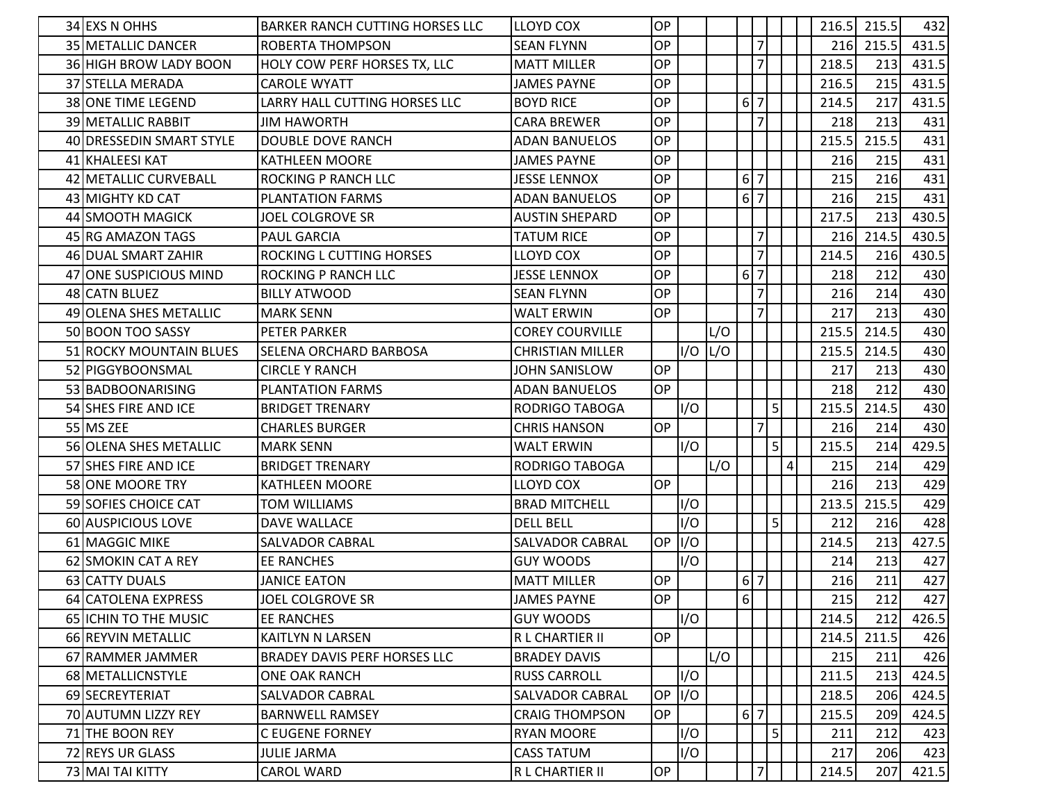| 34 EXS N OHHS             | <b>BARKER RANCH CUTTING HORSES LLC</b> | <b>LLOYD COX</b>        | OP        |     |     |          |                                |                |   | 216.5 | 215.5 | 432   |
|---------------------------|----------------------------------------|-------------------------|-----------|-----|-----|----------|--------------------------------|----------------|---|-------|-------|-------|
| 35 METALLIC DANCER        | ROBERTA THOMPSON                       | <b>SEAN FLYNN</b>       | OP        |     |     |          | $\overline{7}$                 |                |   | 216   | 215.5 | 431.5 |
| 36 HIGH BROW LADY BOON    | <b>HOLY COW PERF HORSES TX, LLC</b>    | <b>MATT MILLER</b>      | <b>OP</b> |     |     |          | $\overline{7}$                 |                |   | 218.5 | 213   | 431.5 |
| 37 STELLA MERADA          | <b>CAROLE WYATT</b>                    | <b>JAMES PAYNE</b>      | <b>OP</b> |     |     |          |                                |                |   | 216.5 | 215   | 431.5 |
| <b>38 ONE TIME LEGEND</b> | LARRY HALL CUTTING HORSES LLC          | <b>BOYD RICE</b>        | <b>OP</b> |     |     | $6 \mid$ | 7                              |                |   | 214.5 | 217   | 431.5 |
| 39 METALLIC RABBIT        | <b>JIM HAWORTH</b>                     | <b>CARA BREWER</b>      | <b>OP</b> |     |     |          | $\overline{7}$                 |                |   | 218   | 213   | 431   |
| 40 DRESSEDIN SMART STYLE  | DOUBLE DOVE RANCH                      | <b>ADAN BANUELOS</b>    | OP        |     |     |          |                                |                |   | 215.5 | 215.5 | 431   |
| 41 KHALEESI KAT           | <b>KATHLEEN MOORE</b>                  | JAMES PAYNE             | OP        |     |     |          |                                |                |   | 216   | 215   | 431   |
| 42 METALLIC CURVEBALL     | ROCKING P RANCH LLC                    | <b>JESSE LENNOX</b>     | OP        |     |     |          | 6 7                            |                |   | 215   | 216   | 431   |
| 43 MIGHTY KD CAT          | <b>PLANTATION FARMS</b>                | <b>ADAN BANUELOS</b>    | <b>OP</b> |     |     |          | $6 \overline{\smash{\big)}\,}$ |                |   | 216   | 215   | 431   |
| 44 SMOOTH MAGICK          | JOEL COLGROVE SR                       | <b>AUSTIN SHEPARD</b>   | <b>OP</b> |     |     |          |                                |                |   | 217.5 | 213   | 430.5 |
| 45 RG AMAZON TAGS         | <b>PAUL GARCIA</b>                     | <b>TATUM RICE</b>       | OP        |     |     |          | $\overline{7}$                 |                |   | 216   | 214.5 | 430.5 |
| 46 DUAL SMART ZAHIR       | <b>ROCKING L CUTTING HORSES</b>        | <b>LLOYD COX</b>        | OP        |     |     |          | $\overline{7}$                 |                |   | 214.5 | 216   | 430.5 |
| 47 ONE SUSPICIOUS MIND    | <b>ROCKING P RANCH LLC</b>             | <b>JESSE LENNOX</b>     | OP        |     |     | 6        | $\overline{7}$                 |                |   | 218   | 212   | 430   |
| 48 CATN BLUEZ             | <b>BILLY ATWOOD</b>                    | <b>SEAN FLYNN</b>       | OP        |     |     |          | $\overline{7}$                 |                |   | 216   | 214   | 430   |
| 49 OLENA SHES METALLIC    | <b>MARK SENN</b>                       | <b>WALT ERWIN</b>       | <b>OP</b> |     |     |          | $\overline{7}$                 |                |   | 217   | 213   | 430   |
| 50 BOON TOO SASSY         | <b>PETER PARKER</b>                    | <b>COREY COURVILLE</b>  |           |     | L/O |          |                                |                |   | 215.5 | 214.5 | 430   |
| 51 ROCKY MOUNTAIN BLUES   | <b>SELENA ORCHARD BARBOSA</b>          | <b>CHRISTIAN MILLER</b> |           | I/O | L/O |          |                                |                |   | 215.5 | 214.5 | 430   |
| 52 PIGGYBOONSMAL          | <b>CIRCLE Y RANCH</b>                  | JOHN SANISLOW           | OP        |     |     |          |                                |                |   | 217   | 213   | 430   |
| 53 BADBOONARISING         | <b>PLANTATION FARMS</b>                | <b>ADAN BANUELOS</b>    | OP        |     |     |          |                                |                |   | 218   | 212   | 430   |
| 54 SHES FIRE AND ICE      | <b>BRIDGET TRENARY</b>                 | <b>RODRIGO TABOGA</b>   |           | I/O |     |          |                                | 5              |   | 215.5 | 214.5 | 430   |
| 55 MS ZEE                 | <b>CHARLES BURGER</b>                  | <b>CHRIS HANSON</b>     | <b>OP</b> |     |     |          | $\overline{7}$                 |                |   | 216   | 214   | 430   |
| 56 OLENA SHES METALLIC    | <b>MARK SENN</b>                       | <b>WALT ERWIN</b>       |           | I/O |     |          |                                | 5 <sup>1</sup> |   | 215.5 | 214   | 429.5 |
| 57 SHES FIRE AND ICE      | <b>BRIDGET TRENARY</b>                 | RODRIGO TABOGA          |           |     | L/O |          |                                |                | 4 | 215   | 214   | 429   |
| 58 ONE MOORE TRY          | <b>KATHLEEN MOORE</b>                  | LLOYD COX               | <b>OP</b> |     |     |          |                                |                |   | 216   | 213   | 429   |
| 59 SOFIES CHOICE CAT      | <b>TOM WILLIAMS</b>                    | <b>BRAD MITCHELL</b>    |           | I/O |     |          |                                |                |   | 213.5 | 215.5 | 429   |
| 60 AUSPICIOUS LOVE        | DAVE WALLACE                           | <b>DELL BELL</b>        |           | I/O |     |          |                                | 5              |   | 212   | 216   | 428   |
| 61 MAGGIC MIKE            | <b>SALVADOR CABRAL</b>                 | <b>SALVADOR CABRAL</b>  | OP I/O    |     |     |          |                                |                |   | 214.5 | 213   | 427.5 |
| 62 SMOKIN CAT A REY       | <b>EE RANCHES</b>                      | <b>GUY WOODS</b>        |           | I/O |     |          |                                |                |   | 214   | 213   | 427   |
| 63 CATTY DUALS            | <b>JANICE EATON</b>                    | <b>MATT MILLER</b>      | <b>OP</b> |     |     |          | $6 \overline{\smash{\big)}\,}$ |                |   | 216   | 211   | 427   |
| 64 CATOLENA EXPRESS       | JOEL COLGROVE SR                       | <b>JAMES PAYNE</b>      | <b>OP</b> |     |     | $6 \mid$ |                                |                |   | 215   | 212   | 427   |
| 65 ICHIN TO THE MUSIC     | <b>EE RANCHES</b>                      | <b>GUY WOODS</b>        |           | I/O |     |          |                                |                |   | 214.5 | 212   | 426.5 |
| 66 REYVIN METALLIC        | KAITLYN N LARSEN                       | R L CHARTIER II         | OP        |     |     |          |                                |                |   | 214.5 | 211.5 | 426   |
| 67 RAMMER JAMMER          | BRADEY DAVIS PERF HORSES LLC           | <b>BRADEY DAVIS</b>     |           |     | L/O |          |                                |                |   | 215   | 211   | 426   |
| 68 METALLICNSTYLE         | <b>ONE OAK RANCH</b>                   | <b>RUSS CARROLL</b>     |           | I/O |     |          |                                |                |   | 211.5 | 213   | 424.5 |
| 69 SECREYTERIAT           | SALVADOR CABRAL                        | SALVADOR CABRAL         | OP I/O    |     |     |          |                                |                |   | 218.5 | 206   | 424.5 |
| 70 AUTUMN LIZZY REY       | <b>BARNWELL RAMSEY</b>                 | <b>CRAIG THOMPSON</b>   | <b>OP</b> |     |     |          | 6 7                            |                |   | 215.5 | 209   | 424.5 |
| 71 THE BOON REY           | <b>C EUGENE FORNEY</b>                 | <b>RYAN MOORE</b>       |           | I/O |     |          |                                | 5              |   | 211   | 212   | 423   |
| 72 REYS UR GLASS          | <b>JULIE JARMA</b>                     | <b>CASS TATUM</b>       |           | I/O |     |          |                                |                |   | 217   | 206   | 423   |
| 73 MAI TAI KITTY          | CAROL WARD                             | R L CHARTIER II         | OP        |     |     |          | $\overline{7}$                 |                |   | 214.5 | 207   | 421.5 |